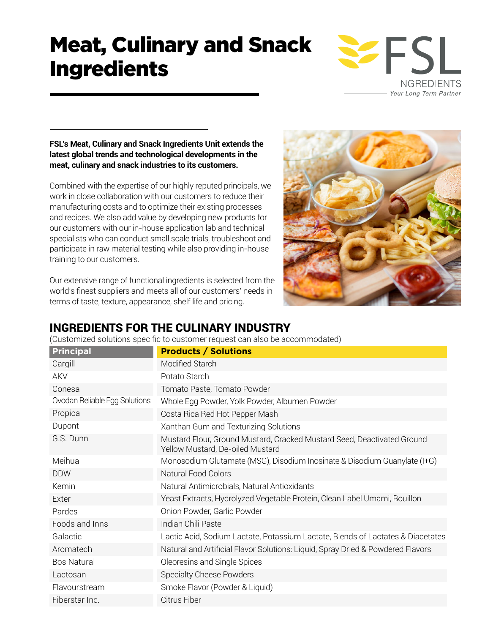# Meat, Culinary and Snack Ingredients



## **FSL's Meat, Culinary and Snack Ingredients Unit extends the latest global trends and technological developments in the meat, culinary and snack industries to its customers.**

Combined with the expertise of our highly reputed principals, we work in close collaboration with our customers to reduce their manufacturing costs and to optimize their existing processes and recipes. We also add value by developing new products for our customers with our in-house application lab and technical specialists who can conduct small scale trials, troubleshoot and participate in raw material testing while also providing in-house training to our customers.

Our extensive range of functional ingredients is selected from the world's finest suppliers and meets all of our customers' needs in terms of taste, texture, appearance, shelf life and pricing.



# INGREDIENTS FOR THE CULINARY INDUSTRY

(Customized solutions specific to customer request can also be accommodated)

| <b>Principal</b>              | <b>Products / Solutions</b>                                                                                 |
|-------------------------------|-------------------------------------------------------------------------------------------------------------|
| Cargill                       | Modified Starch                                                                                             |
| <b>AKV</b>                    | Potato Starch                                                                                               |
| Conesa                        | Tomato Paste, Tomato Powder                                                                                 |
| Ovodan Reliable Egg Solutions | Whole Egg Powder, Yolk Powder, Albumen Powder                                                               |
| Propica                       | Costa Rica Red Hot Pepper Mash                                                                              |
| Dupont                        | Xanthan Gum and Texturizing Solutions                                                                       |
| G.S. Dunn                     | Mustard Flour, Ground Mustard, Cracked Mustard Seed, Deactivated Ground<br>Yellow Mustard, De-oiled Mustard |
| Meihua                        | Monosodium Glutamate (MSG), Disodium Inosinate & Disodium Guanylate (I+G)                                   |
| <b>DDW</b>                    | Natural Food Colors                                                                                         |
| Kemin                         | Natural Antimicrobials, Natural Antioxidants                                                                |
| Exter                         | Yeast Extracts, Hydrolyzed Vegetable Protein, Clean Label Umami, Bouillon                                   |
| Pardes                        | Onion Powder, Garlic Powder                                                                                 |
| Foods and Inns                | Indian Chili Paste                                                                                          |
| Galactic                      | Lactic Acid, Sodium Lactate, Potassium Lactate, Blends of Lactates & Diacetates                             |
| Aromatech                     | Natural and Artificial Flavor Solutions: Liquid, Spray Dried & Powdered Flavors                             |
| <b>Bos Natural</b>            | Oleoresins and Single Spices                                                                                |
| Lactosan                      | Specialty Cheese Powders                                                                                    |
| Flavourstream                 | Smoke Flavor (Powder & Liquid)                                                                              |
| Fiberstar Inc.                | Citrus Fiber                                                                                                |